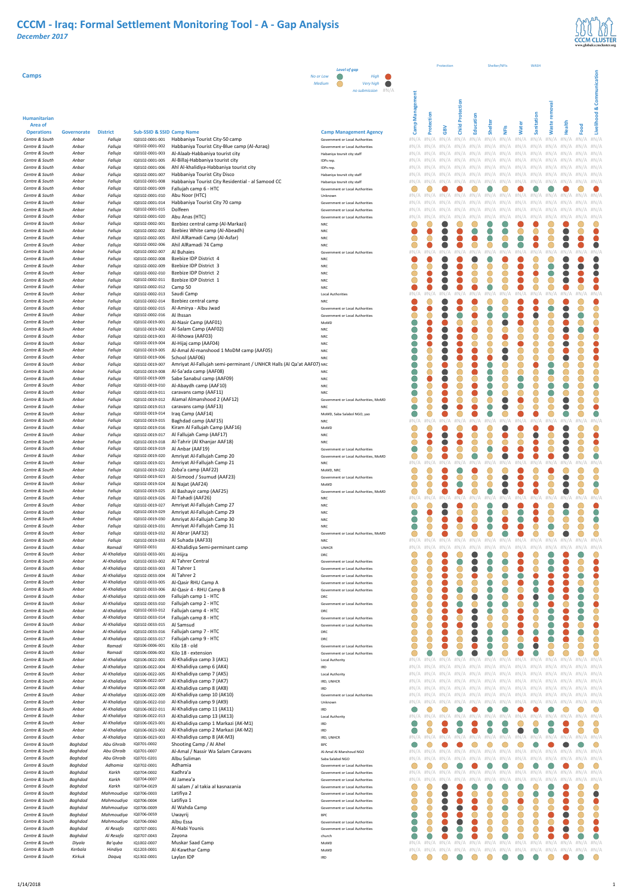

#### **Humanitarian**

|                              |             |                 |                                      |                                                                       |                                       |         |       |     | ௳     |        |                                                         |      |                                                                         |        |                         |        |                 |         |
|------------------------------|-------------|-----------------|--------------------------------------|-----------------------------------------------------------------------|---------------------------------------|---------|-------|-----|-------|--------|---------------------------------------------------------|------|-------------------------------------------------------------------------|--------|-------------------------|--------|-----------------|---------|
| Area of<br><b>Operations</b> | Governorate | <b>District</b> | <b>Sub-SSID &amp; SSID Camp Name</b> |                                                                       | <b>Camp Management Agency</b>         | em      | Prote | GBV | Child | ducati | Shelter                                                 | NFIS | ater                                                                    | anitat | ast                     | Health | boo             | Livelih |
| Centre & South               | Anbar       | Falluja         | IQ0102-0001-001                      | Habbaniya Tourist City-50 camp                                        | Government or Local Authorities       | Ő       |       |     |       |        | $\#N/A$ $\#N/A$ $\#N/A$ $\#N/A$ $\#N/A$ $\#N/A$ $\#N/A$ |      | #N/A                                                                    |        | $\#N/A$ $\#N/A$ $\#N/A$ |        | $\#N/A$ $\#N/A$ |         |
| Centre & South               | Anbar       | Falluja         | IQ0102-0001-002                      | Habbaniya Tourist City-Blue camp (Al-Azraq)                           | Government or Local Authorities       |         |       |     |       |        |                                                         |      |                                                                         |        |                         |        |                 |         |
| Centre & South               | Anbar       | Falluja         | IQ0102-0001-003                      | Al-Alaab-Habbaniya tourist city                                       | Habaniya toursit city staff           |         |       |     |       |        |                                                         |      |                                                                         |        |                         |        |                 |         |
| Centre & South               | Anbar       | Falluja         | IQ0102-0001-005                      | Al-Billaj-Habbaniya tourist city                                      |                                       |         |       |     |       |        |                                                         |      |                                                                         |        |                         |        |                 |         |
| Centre & South               | Anbar       | Falluja         | IQ0102-0001-006                      | Ahl Al-khalidiya-Habbaniya tourist city                               | IDPs rep.                             |         |       |     |       |        |                                                         |      |                                                                         |        |                         |        |                 |         |
| Centre & South               | Anbar       | Falluja         | IQ0102-0001-007                      | Habbaniya Tourist City Disco                                          | IDPs rep.                             |         |       |     |       |        |                                                         |      |                                                                         |        |                         |        |                 |         |
| Centre & South               |             |                 |                                      |                                                                       | Habaniya toursit city staff           |         |       |     |       |        |                                                         |      |                                                                         |        |                         |        |                 |         |
|                              | Anbar       | Falluja         | IQ0102-0001-008                      | Habbaniya Tourist City Residential - al Samood CC                     | Habaniya toursit city staff           |         |       |     |       |        |                                                         |      |                                                                         |        |                         |        |                 |         |
| Centre & South               | Anbar       | Falluja         | IQ0102-0001-009                      | Fallujah camp 6 - HTC                                                 | Government or Local Authorities       |         |       |     |       |        |                                                         |      |                                                                         |        |                         |        | $\#N/A$ $\#N/A$ |         |
| Centre & South               | Anbar       | Falluja         | IQ0102-0001-010                      | Abu Noor (HTC)                                                        | Unknown                               |         |       |     |       |        |                                                         |      | $\#N/A$ $\#N/A$ $\#N/A$ $\#N/A$ $\#N/A$ $\#N/A$ $\#N/A$ $\#N/A$ $\#N/A$ |        |                         |        |                 |         |
| Centre & South               | Anbar       | Falluja         | IQ0102-0001-014                      | Habbaniya Tourist City 70 camp                                        | Government or Local Authorities       |         |       |     |       |        |                                                         |      |                                                                         |        |                         |        |                 |         |
| Centre & South               | Anbar       | Falluja         | IQ0102-0001-015                      | Dolfeen                                                               | Government or Local Authorities       |         |       |     |       |        |                                                         |      |                                                                         |        |                         |        |                 |         |
| Centre & South               | Anbar       | Falluja         | IQ0102-0001-020                      | Abu Anas (HTC)                                                        | Government or Local Authorities       |         |       |     |       |        |                                                         |      |                                                                         |        |                         |        |                 |         |
| Centre & South               | Anbar       | Falluja         | IQ0102-0002-001                      | Bzebiez central camp (Al-Markazi)                                     | <b>NRC</b>                            |         |       |     |       |        |                                                         |      |                                                                         |        |                         |        |                 |         |
| Centre & South               | Anbar       | Falluja         | IQ0102-0002-002                      | Bzebiez White camp (Al-Abeadh)                                        | <b>NRC</b>                            |         |       |     |       |        |                                                         |      |                                                                         |        |                         |        |                 |         |
| Centre & South               | Anbar       | Falluja         | IQ0102-0002-005                      | Ahil AlRamadi Camp (Al-Asfar)                                         | <b>NRC</b>                            |         |       |     |       |        |                                                         |      |                                                                         |        |                         |        |                 |         |
| Centre & South               | Anbar       | Falluja         | IQ0102-0002-006                      | Ahil AlRamadi 74 Camp                                                 | <b>NRC</b>                            |         |       |     |       |        |                                                         |      |                                                                         |        |                         |        |                 |         |
| Centre & South               | Anbar       | Falluja         | IQ0102-0002-007                      | Al Buhaies                                                            | Government or Local Authorities       | #N/A    |       |     |       |        |                                                         |      |                                                                         |        |                         |        | #N/A #N/A       |         |
| Centre & South               | Anbar       | Falluja         | IQ0102-0002-008                      | Bzebize IDP District 4                                                | <b>NRC</b>                            |         |       |     |       |        |                                                         |      |                                                                         |        |                         |        |                 |         |
| Centre & South               | Anbar       | Falluja         | IQ0102-0002-009                      | Bzebize IDP District 3                                                | <b>NRC</b>                            |         |       |     |       |        |                                                         |      |                                                                         |        |                         |        |                 |         |
| Centre & South               | Anbar       | Falluja         | IQ0102-0002-010                      | Bzebize IDP District 2                                                | <b>NRC</b>                            |         |       |     |       |        |                                                         |      |                                                                         |        |                         |        |                 |         |
| Centre & South               | Anbar       | Falluja         | IQ0102-0002-011                      | Bzebize IDP District 1                                                | <b>NRC</b>                            |         |       |     |       |        |                                                         |      |                                                                         |        |                         |        |                 |         |
| Centre & South               | Anbar       | Falluja         | IQ0102-0002-012                      | Camp 50                                                               | <b>NRC</b>                            |         |       |     |       |        |                                                         |      |                                                                         |        |                         |        |                 |         |
| Centre & South               | Anbar       | Falluja         | IQ0102-0002-013                      | Saudi Camp                                                            | <b>Local Authorities</b>              | # $N/A$ |       |     |       |        |                                                         |      |                                                                         |        |                         |        |                 |         |
| Centre & South               | Anbar       | Falluja         | IQ0102-0002-014                      | Bzebiez central camp                                                  | <b>NRC</b>                            |         |       |     |       |        |                                                         |      |                                                                         |        |                         |        |                 |         |
| Centre & South               | Anbar       | Falluja         | IQ0102-0002-015                      | Al-Amirya - Albu Jwad                                                 | Government or Local Authorities       |         |       |     |       |        |                                                         |      |                                                                         |        |                         |        |                 |         |
| Centre & South               | Anbar       | Falluja         | IQ0102-0002-016                      | Al Ihssan                                                             | Government or Local Authorities       |         |       |     |       |        |                                                         |      |                                                                         |        |                         |        |                 |         |
| Centre & South               | Anbar       | Falluja         | IQ0102-0019-001                      | Al-Nasir Camp (AAF01)                                                 | MoMD                                  |         |       |     |       |        |                                                         |      |                                                                         |        |                         |        |                 |         |
| Centre & South               | Anbar       | Falluja         | IQ0102-0019-002                      | Al-Salam Camp (AAF02)                                                 | <b>NRC</b>                            |         |       |     |       |        |                                                         |      |                                                                         |        |                         |        |                 |         |
| Centre & South               | Anbar       | Falluja         | IQ0102-0019-003                      | Al-Ikhowa (AAF03)                                                     | <b>NRC</b>                            |         |       |     |       |        |                                                         |      |                                                                         |        |                         |        |                 |         |
| Centre & South               | Anbar       | Falluja         | IQ0102-0019-004                      | Al-Hijaj camp (AAF04)                                                 | <b>NRC</b>                            |         |       |     |       |        |                                                         |      |                                                                         |        |                         |        |                 |         |
| Centre & South               | Anbar       | Falluja         | IQ0102-0019-005                      | Al-Amal Al-manshood 1 MoDM camp (AAF05)                               | <b>NRC</b>                            |         |       |     |       |        |                                                         |      |                                                                         |        |                         |        |                 |         |
| Centre & South               | Anbar       | Falluja         | IQ0102-0019-006                      | School (AAF06)                                                        | <b>NRC</b>                            |         |       |     |       |        |                                                         |      |                                                                         |        |                         |        |                 |         |
| Centre & South               | Anbar       | Falluja         | IQ0102-0019-007                      | Amriyat Al-Fallujah semi-perminant / UNHCR Halls (Al Qa'at AAF07) NRC |                                       |         |       |     |       |        |                                                         |      |                                                                         |        |                         |        |                 |         |
| Centre & South               | Anbar       | Falluja         | IQ0102-0019-008                      | Al-Sa'ada camp (AAF08)                                                | <b>NRC</b>                            |         |       |     |       |        |                                                         |      |                                                                         |        |                         |        |                 |         |
| Centre & South               | Anbar       | Falluja         | IQ0102-0019-009                      | Sabe Sanabul camp (AAF09)                                             | <b>NRC</b>                            |         |       |     |       |        |                                                         |      |                                                                         |        |                         |        |                 |         |
| Centre & South               | Anbar       | Falluja         | IQ0102-0019-010                      | Al-Abaydh camp (AAF10)                                                | <b>NRC</b>                            |         |       |     |       |        |                                                         |      |                                                                         |        |                         |        |                 |         |
| Centre & South               | Anbar       | Falluja         | IQ0102-0019-011                      | caravans camp (AAF11)                                                 | <b>NRC</b>                            |         |       |     |       |        |                                                         |      |                                                                         |        |                         |        |                 |         |
| Centre & South               | Anbar       | Falluja         | IQ0102-0019-012                      | Alamal Almanshood 2 (AAF12)                                           | Government or Local Authorities, MoMD |         |       |     |       |        |                                                         |      |                                                                         |        |                         |        |                 |         |
| Centre & South               | Anbar       | Falluja         | IQ0102-0019-013                      | caravans camp (AAF13)                                                 | <b>NRC</b>                            |         |       |     |       |        |                                                         |      |                                                                         |        |                         |        |                 |         |
| Centre & South               | Anbar       | Falluja         | IQ0102-0019-014                      | Iraq Camp (AAF14)                                                     | MoMD, Saba Salabol NGO, yao           |         |       |     |       |        |                                                         |      |                                                                         |        |                         |        |                 |         |
| Centre & South               | Anbar       | Falluja         | IQ0102-0019-015                      | Baghdad camp (AAF15)                                                  | NRC                                   |         |       |     |       |        |                                                         |      |                                                                         |        |                         |        |                 |         |
|                              |             |                 |                                      |                                                                       |                                       |         |       |     |       |        |                                                         |      |                                                                         |        |                         |        |                 |         |

*Centre & South Anbar Falluja* IQ0102-0019-016 Kiram Al Fallujah Camp (AAF16) MoMD *Centre & South Anbar Falluja* IQ0102-0019-017 Al Fallujah Camp (AAF17) Al Fallujah Camp (AAF17) NRC

| <b>Level of gap</b>                                                |                        |              | Protection   |                         |                                         | Shelter/NFIs       |                        |                     | <b>WASH</b>                     |                      |                     |                      |                    |
|--------------------------------------------------------------------|------------------------|--------------|--------------|-------------------------|-----------------------------------------|--------------------|------------------------|---------------------|---------------------------------|----------------------|---------------------|----------------------|--------------------|
| High<br>r Low                                                      |                        |              |              |                         |                                         |                    |                        |                     |                                 |                      |                     |                      | Communication      |
| Very high<br>dium?                                                 |                        |              |              |                         |                                         |                    |                        |                     |                                 |                      |                     |                      |                    |
| $\#N/A$<br>no submission                                           |                        |              |              |                         |                                         |                    |                        |                     |                                 |                      |                     |                      |                    |
|                                                                    | <b>Camp Management</b> |              |              |                         |                                         |                    |                        |                     |                                 |                      |                     |                      |                    |
|                                                                    |                        |              |              | <b>Child Protection</b> |                                         |                    |                        |                     |                                 | <b>Waste removal</b> |                     |                      |                    |
|                                                                    |                        |              |              |                         |                                         |                    |                        |                     |                                 |                      |                     |                      |                    |
|                                                                    |                        | Protection   | <b>GBV</b>   |                         | Education                               | Shelter            | NFIS                   | <b>Water</b>        | Sanitation                      |                      | Health              | Food                 | Livelihood &       |
| <b>Camp Management Agency</b><br>Government or Local Authorities   | $\#N/A$                | # $N/A$      | # $N/A$      | # $N/A$                 | # $N/A$                                 | $\#N/A$            | $\#N/A$                | $\#N/A$             | $\#N/A$                         | $\#N/A$              | $\#N/A$             | $\#N/A$              | # $N/A$            |
| Government or Local Authorities                                    | $\#N/A$                | #N/A         | #N/A         | #N/A                    | #N/A                                    | #N<br>/A           | #N<br>/A               | #N/A                | #N/A                            | #N/<br>Ά             | #N<br>А             | #N<br>/A             | # $N/A$            |
| Habaniya toursit city staff                                        | $\#N/A$                | #N/A         | # $N/A$      | $\#N/A$                 | #N/A                                    | #N<br>Ά            | #N<br>/A               | $\#N$<br>Ά          | #N<br>'A                        | #N<br>'A             | # $\mathsf{N}$<br>А | #N<br>/A             | # $N/A$            |
| IDPs rep.                                                          | $\#N/A$                | #N/A         | $\#N/A$      | $\#N/A$                 | #N/A                                    | #N<br>Ά            | $\#N$<br>Ά             | $\#N/A$             | $\#N/A$                         | #N<br>'A             | #N<br>А             | #N<br>А              | $\#N/A$            |
| IDPs rep.                                                          | $\#N/A$                |              | #N/A         | #N/A                    | #N/<br>'A                               | #N                 | #N<br>/ A              | #N<br>A<br># $N/A$  | #N/A                            | #N<br>Ά              | #N                  | #N                   | # $N/A$            |
| Habaniya toursit city staff<br>Habaniya toursit city staff         | $\#N/A$<br>$\#N/A$     | #N/A         | #N/A         | #N/A                    | #N/<br>'A<br>Ά<br>#N)                   | #N<br>Ά<br>#N<br>А | $\#N/A$<br>#N<br>/ A   | #N<br>A             | #N/A<br>#N/A                    | #N<br>Ά<br>♯<br>А    | #N<br>А<br>А<br>♯   | #N<br>/ A<br>#N<br>Α | # $N/A$<br># $N/A$ |
| Government or Local Authorities                                    |                        |              |              |                         |                                         |                    |                        |                     |                                 |                      |                     |                      |                    |
| Unknown                                                            | $\#N/A$                | #N<br>А      | $\#N/A$      | $\#N/A$                 | #N/<br>Ά                                | #N<br>A            | $\#N$<br>А             | #N<br>Ά             | $\#N/A$                         | #N<br>Ά              | #N<br>Α             | #N<br>А              | $\#N/A$            |
| Government or Local Authorities                                    | # $N/A$                |              |              | #N/A                    | #N/<br>Α                                | #N                 | #N<br>/ A              | #N<br>Α             | #N/A                            | #N                   | #N                  | #N                   | # $N/A$            |
| Government or Local Authorities<br>Government or Local Authorities | # $N/A$<br>$\#N/A$     | #N/A<br>#N/A | #N/A<br>#N/A | #N/A<br>#N/A            | #N/<br>Ά<br>#N/<br>Α                    | #N<br>Ά<br>#N<br>А | # $N$<br>/A<br>#N<br>Ά | #N/<br>Ά<br>#N<br>Α | #N/A<br>#N/A                    | #N/<br>Ά<br>#N)<br>Ά | #N<br>А<br>#N<br>А  | #N<br>Ά<br>#N<br>/ A | # $N/A$<br>$\#N/A$ |
| <b>NRC</b>                                                         |                        |              |              |                         |                                         |                    |                        |                     |                                 |                      |                     |                      |                    |
| <b>NRC</b>                                                         |                        |              |              |                         |                                         |                    |                        |                     |                                 |                      |                     |                      |                    |
| <b>NRC</b>                                                         |                        |              |              |                         |                                         |                    |                        |                     |                                 |                      |                     |                      |                    |
| <b>NRC</b>                                                         |                        |              |              |                         |                                         |                    |                        |                     |                                 |                      |                     |                      |                    |
| Government or Local Authorities<br><b>NRC</b>                      | $\#N/A$                | $\#N/A$      | $\#N/A$      | $\#N/A$                 | #N/A                                    | $\#N/A$            | $\#N/A$                | $\#N/A$             | $\#N/A$                         | $\#N/A$              | $\#N/A$             | $\#N$                | $\#N/A$            |
| <b>NRC</b>                                                         |                        |              |              |                         |                                         |                    |                        |                     |                                 |                      |                     |                      |                    |
| <b>NRC</b>                                                         |                        |              |              |                         |                                         |                    |                        |                     |                                 |                      |                     |                      |                    |
| <b>NRC</b>                                                         |                        |              |              |                         |                                         |                    |                        |                     |                                 |                      |                     |                      |                    |
| <b>NRC</b>                                                         |                        |              |              |                         | #N                                      | #N                 | #N                     |                     |                                 |                      |                     |                      |                    |
| <b>Local Authorities</b><br><b>NRC</b>                             | #N/                    |              |              |                         | 'A                                      | /A                 | /A                     | #N<br>Ά             | #N.<br>Α                        | #N                   | #N                  | #1                   | # $N/A$            |
| Government or Local Authorities                                    |                        |              |              |                         |                                         |                    |                        |                     |                                 |                      |                     |                      |                    |
| Government or Local Authorities                                    |                        |              |              |                         |                                         |                    |                        |                     |                                 |                      |                     |                      |                    |
| MoMD                                                               |                        |              |              |                         |                                         |                    |                        |                     |                                 |                      |                     |                      |                    |
| <b>NRC</b><br><b>NRC</b>                                           |                        |              |              |                         |                                         |                    |                        |                     |                                 |                      |                     |                      |                    |
| <b>NRC</b>                                                         |                        |              |              |                         |                                         |                    |                        |                     |                                 |                      |                     |                      |                    |
| <b>NRC</b>                                                         |                        |              |              |                         |                                         |                    |                        |                     |                                 |                      |                     |                      |                    |
| <b>NRC</b>                                                         |                        |              |              |                         |                                         |                    |                        |                     |                                 |                      |                     |                      |                    |
| NRC                                                                |                        |              |              |                         |                                         |                    |                        |                     |                                 |                      |                     |                      |                    |
| <b>NRC</b><br><b>NRC</b>                                           |                        |              |              |                         |                                         |                    |                        |                     |                                 |                      |                     |                      |                    |
| <b>NRC</b>                                                         |                        |              |              |                         |                                         |                    |                        |                     |                                 |                      |                     |                      |                    |
| <b>NRC</b>                                                         |                        |              |              |                         |                                         |                    |                        |                     |                                 |                      |                     |                      |                    |
| Government or Local Authorities, MoMD                              |                        |              |              |                         |                                         |                    |                        |                     |                                 |                      |                     |                      |                    |
| <b>NRC</b>                                                         |                        |              |              |                         |                                         |                    |                        |                     |                                 |                      |                     |                      |                    |
| MoMD, Saba Salabol NGO, yao<br><b>NRC</b>                          | $\#N/A$                | $\#N/A$      | #N/A         | #N/A                    | $\#N/A$                                 | $\#N/A$            | $\#N/A$                | $\#N/A$             | $\#N/A$                         | $\#N/A$              | $\#N/A$             | #N                   | $\#N/A$            |
| MoMD                                                               |                        |              |              |                         |                                         |                    |                        |                     |                                 |                      |                     |                      |                    |
| <b>NRC</b>                                                         |                        |              |              |                         |                                         |                    |                        |                     |                                 |                      |                     |                      |                    |
| <b>NRC</b>                                                         |                        |              |              |                         |                                         |                    |                        |                     |                                 |                      |                     |                      |                    |
| Government or Local Authorities                                    |                        |              |              |                         |                                         |                    |                        |                     |                                 |                      |                     |                      |                    |
| Government or Local Authorities, MoMD<br><b>NRC</b>                | $\#N/A$                | #N/A         | #N/A         | #N/A                    | #N/<br>Α                                | $\#N/$<br>Ά        | #N/                    | #N/<br>Ά            | #N/A                            | #N/<br>Ά             | #N/                 | #N                   | $\#N/A$            |
| MoMD, NRC                                                          |                        |              |              |                         |                                         |                    |                        |                     |                                 |                      |                     |                      |                    |
| Government or Local Authorities                                    |                        |              |              |                         |                                         |                    |                        |                     |                                 |                      |                     |                      |                    |
| MoMD                                                               |                        |              |              |                         |                                         |                    |                        |                     |                                 |                      |                     |                      |                    |
| Government or Local Authorities, MoMD                              | # $N/A$                | #N/A         |              |                         | $\#N/A$ $\#N/A$ $\#N/A$ $\#N/A$ $\#N/A$ |                    |                        |                     | $\#N/A$ $\#N/A$ $\#N/A$ $\#N/A$ |                      |                     | #N/A                 | $\#N/A$            |
| <b>NRC</b><br><b>NRC</b>                                           |                        |              |              |                         |                                         |                    |                        |                     |                                 |                      |                     |                      |                    |
| <b>NRC</b>                                                         |                        |              |              |                         |                                         |                    |                        |                     |                                 |                      |                     |                      |                    |
| <b>NRC</b>                                                         |                        |              |              |                         |                                         |                    |                        |                     |                                 |                      |                     |                      |                    |
| <b>NRC</b><br>Government or Local Authorities, MoMD                |                        |              |              |                         |                                         |                    |                        |                     |                                 |                      |                     |                      |                    |
| <b>NRC</b>                                                         | $\#N/$                 | Ά            | #N           | $\#N$                   | #N<br>A                                 | #N                 | #N                     | #N                  | #N<br>A                         | #N<br>A              | #N                  | #N                   | $\#N/A$            |
| <b>UNHCR</b>                                                       | $\#N/A$                | $\#N/A$      | #N/A         | #N/A                    | Ά                                       |                    | #N                     |                     |                                 |                      |                     | #N                   | $\#N/A$            |
| <b>DRC</b>                                                         |                        |              |              |                         |                                         |                    |                        |                     |                                 |                      |                     |                      |                    |
| Government or Local Authorities                                    |                        |              |              |                         |                                         |                    |                        |                     |                                 |                      |                     |                      |                    |
| Government or Local Authorities<br>Government or Local Authorities |                        |              |              |                         |                                         |                    |                        |                     |                                 |                      |                     |                      |                    |
| Government or Local Authorities                                    |                        |              |              |                         |                                         |                    |                        |                     |                                 |                      |                     |                      |                    |
| Government or Local Authorities                                    |                        |              |              |                         |                                         |                    |                        |                     |                                 |                      |                     |                      |                    |
| <b>DRC</b>                                                         |                        |              |              |                         |                                         |                    |                        |                     |                                 |                      |                     |                      |                    |
| Government or Local Authorities                                    |                        |              |              |                         |                                         |                    |                        |                     |                                 |                      |                     |                      |                    |
| <b>DRC</b><br>Government or Local Authorities                      |                        |              |              |                         |                                         |                    |                        |                     |                                 |                      |                     |                      |                    |
| Government or Local Authorities                                    |                        |              |              |                         |                                         |                    |                        |                     |                                 |                      |                     |                      |                    |
| <b>DRC</b>                                                         |                        |              |              |                         |                                         |                    |                        |                     |                                 |                      |                     |                      |                    |
| <b>DRC</b>                                                         |                        |              |              |                         |                                         |                    |                        |                     |                                 |                      |                     |                      |                    |
| Government or Local Authorities<br>Government or Local Authorities |                        |              |              |                         |                                         |                    |                        |                     |                                 |                      |                     |                      |                    |
| Local Authority                                                    | $\#N/A$                | #N/A         | $\#N/A$      | $\#N/A$                 | $\#N/A$                                 | $\#N/A$            | $\#N/A$                | $\#N/A$             | $\#N/A$                         | #N/<br>'A            | #N<br>А             | #N<br>А              | $\#N/A$            |
| IRD                                                                | $\#N/A$                | #N/A         | #N/A         | $\#N/A$                 | $\#N/A$                                 | $\#N/A$            | $\#N/A$                | #N/A                | $\#N/A$                         | #N/A                 | #N/A                | #N<br>/A             | $\#N/A$            |
| Local Authority                                                    | $\#N/A$                | #N/A         | #N/A         | #N/A                    | #N/A                                    | #N<br>/A           | $\#N/A$                | #N/A                | #N/A                            | #N<br>А              | #N                  | #N<br>А              | # $N/A$            |
| IRD, UNHCR                                                         | $\#N/A$                | #N.          | $\#N/A$      | #N/A                    | #N/<br>'A                               | #N<br>A<br>Ά       | #N<br>/ A<br>#N        | #N<br>A             | #N<br>Ά                         | #N<br>Ά              | #N                  | #N                   | $\#N/A$<br>$\#N/A$ |
| IRD<br>Government or Local Authorities                             | #N/A<br>#N/A           |              |              | Ά                       | Ά<br>А                                  | #N<br>#N<br>А      | А<br>#N<br>А           | #N<br>Α<br>#N<br>Α  | #N.<br>А<br>#N                  | А<br>#N<br>А         | #N                  | #N                   | # $N/A$            |
| Unknown                                                            | $\#N/A$                | #N/A         | #N/A         | #N/A                    | #N/A                                    | #N/A               | $\#N/A$                | #N/A                | #N/A                            | #N/A                 | $\#N/$<br>Ά         | #N<br>/A             | $\#N/A$            |
| <b>IRD</b>                                                         |                        |              |              |                         |                                         |                    |                        |                     |                                 |                      |                     |                      |                    |
| Local Authority                                                    |                        |              |              |                         |                                         |                    |                        |                     |                                 |                      |                     |                      | #N/A               |
| IRD                                                                |                        |              |              |                         |                                         |                    |                        |                     |                                 |                      |                     |                      |                    |
| <b>IRD</b><br>IRD, UNHCR                                           | # $N/A$                | #N/A         | #N/A         | #N/A                    | $\#N/A$                                 | # $N/A$            | # $N/A$                | $\#N/A$             | $\#N/A$                         | #N/A                 | $\#N/A$             | # $N/A$              | # $N/A$            |
| <b>BPC</b>                                                         |                        |              |              |                         |                                         |                    |                        |                     |                                 |                      |                     |                      |                    |
| Al-Amal Al-Manshoud NGO                                            | # $N/A$                | #N/A         | $\#N/A$      | $\#N/A$                 | # $N/A$                                 | # $N/A$            | #N/A                   | #N/A                | $\#N/A$                         | $\#N/A$              | # $N/A$             | # $N/A$              | $\#N/A$            |
| Saba Salabol NGO                                                   | #N/A                   | $\#N/A$      | $\#N/A$      | $\#N/A$                 | # $N/A$                                 | # $N/A$            | $\#N/A$                | $\#N/A$             | $\#N/A$                         | $\#N/A$              | $\#N/A$             | $\#N/A$              | $\#N/A$            |
| Government or Local Authorities                                    |                        |              |              |                         |                                         |                    |                        |                     |                                 |                      |                     |                      |                    |
| Government or Local Authorities<br>Government or Local Authorities | $\#N/A$<br>$\#N/A$     | #N/A<br>#N/A | #N/A<br>#N/A | #N/A<br>#N/A            | #N/A<br>#N/<br>А                        | # $N$<br>Α<br>#N   | #N<br>/A               | $\#N/A$<br>#N/      | # $N/A$<br>#N/A                 | # $N/A$              | #N<br>А             | #N<br>#N             | $\#N/A$<br># $N/A$ |
| Government or Local Authorities                                    |                        |              |              |                         |                                         |                    |                        |                     |                                 |                      |                     |                      |                    |
| Government or Local Authorities                                    |                        |              |              |                         |                                         |                    |                        |                     |                                 |                      |                     |                      |                    |
| Government or Local Authorities                                    |                        |              |              |                         |                                         |                    |                        |                     |                                 |                      |                     |                      |                    |
| Government or Local Authorities                                    |                        |              |              |                         |                                         |                    |                        |                     |                                 |                      |                     |                      |                    |
| <b>BPC</b><br>Government or Local Authorities                      |                        |              |              |                         |                                         |                    |                        |                     |                                 |                      |                     |                      |                    |
| Government or Local Authorities                                    |                        |              |              |                         |                                         |                    |                        |                     |                                 |                      |                     |                      |                    |
| church                                                             |                        |              |              |                         |                                         |                    |                        |                     |                                 |                      |                     |                      |                    |
| MoMD                                                               | $\#N/A$                | #N/A         | #N/A         | #N/A                    | #N/A                                    | $\#N/A$            | $\#N/A$                | $\#N/A$             | $\#N/A$                         | # $N/A$              | # $N$               | #N                   | # $N/A$            |
| MoMD<br>IRD                                                        | $\#N/A$                | #N/A         | #N/A         | #N/A                    | #N<br>A                                 | #N                 | #N                     |                     | Ά                               |                      |                     |                      | #N/A               |

| Centre & South | Anbar   | Falluja      | IQ0102-0019-018 | Al-Tahrir (Al Khanjar AAF18)        | <b>NRC</b>                             |         |                 |                         |  |           |         |      |                 |      |                               |          |
|----------------|---------|--------------|-----------------|-------------------------------------|----------------------------------------|---------|-----------------|-------------------------|--|-----------|---------|------|-----------------|------|-------------------------------|----------|
| Centre & South | Anbar   | Falluja      | IQ0102-0019-019 | Al Anbar (AAF19)                    | Government or Local Authorities        |         |                 |                         |  |           |         |      |                 |      |                               |          |
| Centre & South | Anbar   | Falluja      | IQ0102-0019-020 | Amriyat Al-Fallujah Camp 20         | Government or Local Authorities, MoMD  |         |                 |                         |  |           |         |      |                 |      |                               |          |
| Centre & South | Anbar   | Falluja      | IQ0102-0019-021 | Amriyat Al-Fallujah Camp 21         | <b>NRC</b>                             |         |                 |                         |  |           |         |      |                 |      |                               | #N/A     |
| Centre & South | Anbar   | Falluja      | IQ0102-0019-022 | Zoba'a camp (AAF22)                 | MoMD, NRC                              |         |                 |                         |  |           |         |      |                 |      |                               |          |
| Centre & South | Anbar   | Falluja      | IQ0102-0019-023 | Al-Simood / Ssumud (AAF23)          | Government or Local Authorities        |         |                 |                         |  |           |         |      |                 |      |                               |          |
| Centre & South | Anbar   | Falluja      | IQ0102-0019-024 | Al Najat (AAF24)                    | MoMD                                   |         |                 |                         |  |           |         |      |                 |      |                               |          |
| Centre & South | Anbar   | Falluja      | IQ0102-0019-025 | Al Bashayir camp (AAF25)            | Government or Local Authorities, MoMD  |         |                 |                         |  |           |         |      |                 |      |                               |          |
| Centre & South | Anbar   | Falluja      | IQ0102-0019-026 | Al-Tahadi (AAF26)                   | NRC                                    |         |                 |                         |  |           |         |      |                 |      |                               | $\#N/$   |
| Centre & South | Anbar   | Falluja      | IQ0102-0019-027 | Amriyat Al-Fallujah Camp 27         | <b>NRC</b>                             |         |                 |                         |  |           |         |      |                 |      |                               |          |
| Centre & South | Anbar   | Falluja      | IQ0102-0019-029 | Amriyat Al-Fallujah Camp 29         | <b>NRC</b>                             |         |                 |                         |  |           |         |      |                 |      |                               |          |
| Centre & South | Anbar   | Falluja      | IQ0102-0019-030 | Amriyat Al-Fallujah Camp 30         | <b>NRC</b>                             |         |                 |                         |  |           |         |      |                 |      |                               |          |
| Centre & South | Anbar   | Falluja      | IQ0102-0019-031 | Amriyat Al-Fallujah Camp 31         | <b>NRC</b>                             |         |                 |                         |  |           |         |      |                 |      |                               |          |
| Centre & South | Anbar   | Falluja      | IQ0102-0019-032 | Al Abrar (AAF32)                    | Government or Local Authorities, MoMD  |         |                 |                         |  |           |         |      |                 |      |                               |          |
| Centre & South | Anbar   | Falluja      | IQ0102-0019-033 | Al Suhada (AAF33)                   | <b>NRC</b>                             |         |                 |                         |  |           |         |      |                 |      |                               | #N/A     |
| Centre & South | Anbar   | Ramadi       | IQ0102-0031     | Al-Khalidiya Semi-perminant camp    | <b>UNHCR</b>                           |         |                 |                         |  |           |         |      |                 |      |                               | J/A #N/A |
| Centre & South | Anbar   | Al-Khalidiya | IQ0102-0033-001 | Al-Hijra                            | <b>DRC</b>                             |         |                 |                         |  |           |         |      |                 |      |                               |          |
| Centre & South | Anbar   | Al-Khalidiya | IQ0102-0033-002 | Al Tahrer Central                   |                                        |         |                 |                         |  |           |         |      |                 |      |                               |          |
|                |         |              | IQ0102-0033-003 | Al Tahrer 1                         | Government or Local Authorities        |         |                 |                         |  |           |         |      |                 |      |                               |          |
| Centre & South | Anbar   | Al-Khalidiya |                 |                                     | Government or Local Authorities        |         |                 |                         |  |           |         |      |                 |      |                               |          |
| Centre & South | Anbar   | Al-Khalidiya | IQ0102-0033-004 | Al Tahrer 2                         | Government or Local Authorities        |         |                 |                         |  |           |         |      |                 |      |                               |          |
| Centre & South | Anbar   | Al-Khalidiya | IQ0102-0033-005 | Al-Qasir RHU Camp A                 | Government or Local Authorities        |         |                 |                         |  |           |         |      |                 |      |                               |          |
| Centre & South | Anbar   | Al-Khalidiya | IQ0102-0033-006 | Al-Qasir 4 - RHU Camp B             | Government or Local Authorities        |         |                 |                         |  |           |         |      |                 |      |                               |          |
| Centre & South | Anbar   | Al-Khalidiya | IQ0102-0033-009 | Fallujah camp 1 - HTC               | DRC                                    |         |                 |                         |  |           |         |      |                 |      |                               |          |
| Centre & South | Anbar   | Al-Khalidiya | IQ0102-0033-010 | Fallujah camp 2 - HTC               | Government or Local Authorities        |         |                 |                         |  |           |         |      |                 |      |                               |          |
| Centre & South | Anbar   | Al-Khalidiya | IQ0102-0033-012 | Fallujah camp 4 - HTC               | <b>DRC</b>                             |         |                 |                         |  |           |         |      |                 |      |                               |          |
| Centre & South | Anbar   | Al-Khalidiya | IQ0102-0033-014 | Fallujah camp 8 - HTC               | Government or Local Authorities        |         |                 |                         |  |           |         |      |                 |      |                               |          |
| Centre & South | Anbar   | Al-Khalidiya | IQ0102-0033-015 | Al Samsud                           | Government or Local Authorities        |         |                 |                         |  |           |         |      |                 |      |                               |          |
| Centre & South | Anbar   | Al-Khalidiya | IQ0102-0033-016 | Fallujah camp 7 - HTC               | <b>DRC</b>                             |         |                 |                         |  |           |         |      |                 |      |                               |          |
| Centre & South | Anbar   | Al-Khalidiya | IQ0102-0033-017 | Fallujah camp 9 - HTC               | DRC                                    |         |                 |                         |  |           |         |      |                 |      |                               |          |
| Centre & South | Anbar   | Ramadi       | IQ0106-0006-001 | Kilo 18 - old                       | Government or Local Authorities        |         |                 |                         |  |           |         |      |                 |      |                               |          |
| Centre & South | Anbar   | Ramadi       | IQ0106-0006-002 | Kilo 18 - extension                 | Government or Local Authorities        |         |                 |                         |  |           |         |      |                 |      |                               |          |
| Centre & South | Anbar   | Al-Khalidiya | IQ0106-0022-001 | Al-Khalidiya camp 3 (AK1)           | Local Authority                        |         |                 |                         |  |           |         |      |                 |      |                               |          |
| Centre & South | Anbar   | Al-Khalidiya | IQ0106-0022-004 | Al-Khalidiya camp 6 (AK4)           | <b>IRD</b>                             |         |                 |                         |  |           |         |      |                 |      |                               |          |
| Centre & South | Anbar   | Al-Khalidiya | IQ0106-0022-005 | Al-Khalidiya camp 7 (AK5)           | Local Authority                        |         |                 |                         |  |           |         |      |                 |      |                               |          |
| Centre & South | Anbar   | Al-Khalidiya | IQ0106-0022-007 | Al-Khalidiya camp 7 (AK7)           | IRD, UNHCR                             |         |                 |                         |  |           |         |      |                 |      |                               |          |
| Centre & South | Anbar   | Al-Khalidiya | IQ0106-0022-008 | Al-Khalidiya camp 8 (AK8)           | <b>IRD</b>                             |         |                 |                         |  |           |         |      |                 |      |                               |          |
| Centre & South | Anbar   | Al-Khalidiya | IQ0106-0022-009 | Al-Khalidiya camp 10 (AK10)         | Government or Local Authorities        |         |                 |                         |  |           |         |      |                 |      |                               |          |
| Centre & South | Anbar   | Al-Khalidiya | IQ0106-0022-010 | Al-Khalidiya camp 9 (AK9)           | Unknown                                |         |                 |                         |  |           |         |      |                 |      |                               |          |
| Centre & South | Anbar   | Al-Khalidiya | IQ0106-0022-011 | Al-Khalidiya camp 11 (AK11)         | <b>IRD</b>                             |         |                 |                         |  |           |         |      |                 |      |                               |          |
| Centre & South | Anbar   | Al-Khalidiya | IQ0106-0022-013 | Al-Khalidiya camp 13 (AK13)         | <b>Local Authority</b>                 | # $N/A$ |                 |                         |  |           |         |      |                 |      | #N/A #N/A                     |          |
| Centre & South | Anbar   | Al-Khalidiya | IQ0106-0023-001 | Al-Khalidiya camp 1 Markazi (AK-M1) | <b>IRD</b>                             |         |                 |                         |  |           |         |      |                 |      |                               |          |
| Centre & South | Anbar   | Al-Khalidiya | IQ0106-0023-002 | Al-Khalidiya camp 2 Markazi (AK-M2) | <b>IRD</b>                             |         |                 |                         |  |           |         |      |                 |      |                               |          |
| Centre & South | Anbar   | Al-Khalidiya | IQ0106-0023-003 | Al-Khalidiya camp 8 (AK-M3)         | IRD, UNHCR                             |         |                 |                         |  |           |         |      |                 |      |                               | I/A #N/A |
| Centre & South | Baghdad | Abu Ghraib   | IQ0701-0002     | Shooting Camp / Al Ahel             | <b>BPC</b>                             |         |                 |                         |  |           |         |      |                 |      |                               |          |
| Centre & South | Baghdad | Abu Ghraib   | IQ0701-0007     | Al-Amal / Nassir Wa Salam Caravans  | Al-Amal Al-Manshoud NGO                | #N/A    |                 |                         |  |           | # $N/A$ | #N/A | $\#N/A$ $\#N/A$ | #N/A | $\#N/A$ $\#N/A$               |          |
| Centre & South | Baghdad | Abu Ghraib   | IQ0701-0201     | Albu Suliman                        | Saba Salabol NGO                       |         | $\#N/A$ $\#N/A$ |                         |  | #N/A #N/A |         |      |                 |      | #N/A #N/A #N/A #N/A #N/A #N/A |          |
| Centre & South | Baghdad | Adhamia      | IQ0702-0001     | Adhamia                             | Government or Local Authorities        |         |                 |                         |  |           |         |      |                 |      |                               |          |
| Centre & South | Baghdad | Karkh        | IQ0704-0002     | Kadhra'a                            | Government or Local Authorities        |         |                 |                         |  |           |         |      |                 |      | $\#N/A$ $\#N/A$               |          |
| Centre & South | Baghdad | Karkh        | IQ0704-0007     | Al Jamea'a                          | Government or Local Authorities        |         |                 | $\#N/A$ $\#N/A$ $\#N/A$ |  |           |         |      | #N/A #N/A #N/A  |      | $\#N/A$ $\#N/A$               |          |
| Centre & South | Baghdad | Karkh        | IQ0704-0029     | Al salam / al takia al kasnazania   | Government or Local Authorities        |         |                 |                         |  |           |         |      |                 |      |                               |          |
| Centre & South | Baghdad | Mahmoudiya   | IQ0706-0003     | Latifiya 2                          | Government or Local Authorities        |         |                 |                         |  |           |         |      |                 |      |                               |          |
| Centre & South | Baghdad | Mahmoudiya   | IQ0706-0004     | Latifiya 1                          | Government or Local Authorities        |         |                 |                         |  |           |         |      |                 |      |                               |          |
| Centre & South | Baghdad | Mahmoudiya   | IQ0706-0009     | Al Wahda Camp                       | Government or Local Authorities        |         |                 |                         |  |           |         |      |                 |      |                               |          |
| Centre & South | Baghdad | Mahmoudiya   | IQ0706-0059     | Uwayrij                             | <b>BPC</b>                             |         |                 |                         |  |           |         |      |                 |      |                               |          |
| Centre & South | Baghdad | Mahmoudiya   | IQ0706-0060     | Albu Essa                           | <b>Government or Local Authorities</b> |         |                 |                         |  |           |         |      |                 |      |                               |          |
| Centre & South | Baghdad | Al Resafa    | IQ0707-0001     | Al-Nabi Younis                      | Government or Local Authorities        |         |                 |                         |  |           |         |      |                 |      |                               |          |
| Centre & South | Baghdad | Al Resafa    | IQ0707-0043     | Zayona                              |                                        |         |                 |                         |  |           |         |      |                 |      |                               |          |
| Centre & South | Diyala  | Ba'quba      | IQ1002-0007     | Muskar Saad Camp                    | church                                 |         |                 |                         |  |           |         |      |                 |      | #N/A #N/A                     |          |
|                |         |              |                 |                                     | MoMD                                   |         |                 |                         |  |           |         |      |                 |      |                               |          |
| Centre & South | Kerbala | Hindiya      | IQ1203-0001     | Al-Kawthar Camp                     | MoMD                                   |         |                 |                         |  |           |         |      |                 |      |                               |          |
| Centre & South | Kirkuk  | Daquq        | IQ1302-0001     | Laylan IDP                          | <b>IRD</b>                             |         |                 |                         |  |           |         |      |                 |      |                               |          |

| Government or Local Authorities, MoMD |
|---------------------------------------|
|                                       |
|                                       |
|                                       |
|                                       |
|                                       |
| Government or Local Authorities, MoMD |
|                                       |
|                                       |
|                                       |
|                                       |
|                                       |
|                                       |
| Government or Local Authorities, MoMD |
|                                       |
|                                       |
|                                       |
|                                       |
|                                       |
|                                       |
|                                       |
|                                       |
|                                       |
|                                       |
|                                       |
|                                       |
|                                       |
|                                       |
|                                       |
|                                       |
|                                       |
|                                       |
|                                       |
|                                       |
|                                       |
|                                       |
|                                       |
|                                       |
|                                       |
|                                       |
|                                       |
|                                       |
|                                       |
|                                       |
|                                       |
|                                       |
|                                       |
|                                       |
|                                       |
|                                       |
|                                       |
|                                       |
|                                       |
|                                       |
|                                       |
|                                       |
|                                       |
|                                       |
|                                       |
|                                       |
|                                       |
|                                       |
|                                       |
|                                       |
|                                       |

## **Camps**

| No or Low        | <b>Level of gap</b><br>High Very high<br><b>Medium</b><br>no submission #N/A |             |
|------------------|------------------------------------------------------------------------------|-------------|
|                  |                                                                              |             |
|                  | <b>Camp Management Agency</b>                                                |             |
|                  | Government or Local Authorities                                              | #           |
|                  | Government or Local Authorities                                              | #N          |
|                  | Habaniya toursit city staff                                                  | #N          |
|                  | IDPs rep.                                                                    | #N          |
|                  | IDPs rep.                                                                    | #N          |
|                  | Habaniya toursit city staff                                                  | #           |
|                  | Habaniya toursit city staff                                                  | #N          |
|                  | Government or Local Authorities                                              | C           |
|                  | Unknown                                                                      | $\#\wedge$  |
|                  | Government or Local Authorities                                              | #N          |
|                  | Government or Local Authorities                                              | #N          |
|                  | Government or Local Authorities                                              | #N          |
|                  | <b>NRC</b><br><b>NRC</b>                                                     | (<br>(<br>( |
|                  | <b>NRC</b>                                                                   |             |
|                  | <b>NRC</b>                                                                   |             |
|                  | Government or Local Authorities                                              | $\#$        |
|                  | <b>NRC</b>                                                                   |             |
|                  | <b>NRC</b>                                                                   |             |
|                  | <b>NRC</b>                                                                   |             |
|                  | <b>NRC</b>                                                                   |             |
|                  | <b>NRC</b>                                                                   |             |
|                  | <b>Local Authorities</b>                                                     | #N          |
|                  | <b>NRC</b>                                                                   |             |
|                  | Government or Local Authorities                                              |             |
|                  | Government or Local Authorities                                              |             |
|                  | MoMD                                                                         |             |
|                  | <b>NRC</b><br><b>NRC</b>                                                     |             |
|                  | <b>NRC</b>                                                                   |             |
|                  | <b>NRC</b>                                                                   |             |
|                  | <b>NRC</b>                                                                   |             |
| <b>AFO7)</b> NRC |                                                                              |             |
|                  | <b>NRC</b>                                                                   |             |
|                  | <b>NRC</b>                                                                   |             |
|                  | <b>NRC</b>                                                                   |             |
|                  | <b>NRC</b>                                                                   |             |